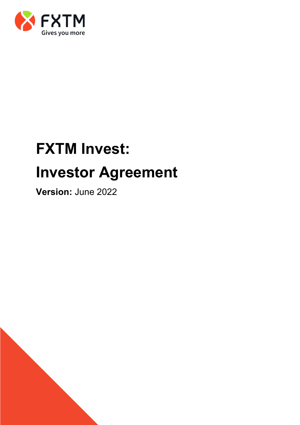

# **FXTM Invest: Investor Agreement**

**Version:** June 2022

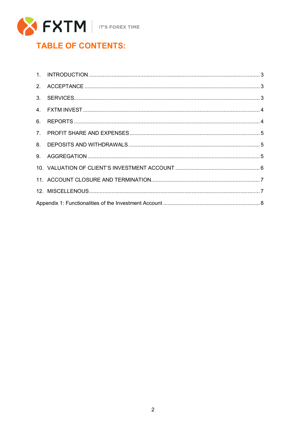

## **TABLE OF CONTENTS:**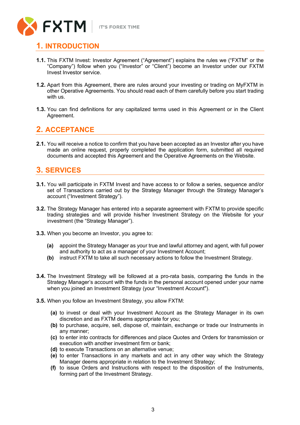**IT'S FOREX TIME** 



## <span id="page-2-0"></span>**1. INTRODUCTION**

- **1.1.** This FXTM Invest: Investor Agreement ("Agreement") explains the rules we ("FXTM" or the "Company") follow when you ("Investor" or "Client") become an Investor under our FXTM Invest Investor service.
- **1.2.** Apart from this Agreement, there are rules around your investing or trading on MyFXTM in other Operative Agreements. You should read each of them carefully before you start trading with us.
- **1.3.** You can find definitions for any capitalized terms used in this Agreement or in the Client Agreement.

## <span id="page-2-1"></span>**2. ACCEPTANCE**

**2.1.** You will receive a notice to confirm that you have been accepted as an Investor after you have made an online request, properly completed the application form, submitted all required documents and accepted this Agreement and the Operative Agreements on the Website.

## <span id="page-2-2"></span>**3. SERVICES**

- **3.1.** You will participate in FXTM Invest and have access to or follow a series, sequence and/or set of Transactions carried out by the Strategy Manager through the Strategy Manager's account ("Investment Strategy").
- **3.2.** The Strategy Manager has entered into a separate agreement with FXTM to provide specific trading strategies and will provide his/her Investment Strategy on the Website for your investment (the "Strategy Manager").
- **3.3.** When you become an Investor, you agree to:
	- **(a)** appoint the Strategy Manager as your true and lawful attorney and agent, with full power and authority to act as a manager of your Investment Account;
	- **(b)** instruct FXTM to take all such necessary actions to follow the Investment Strategy.
- **3.4.** The Investment Strategy will be followed at a pro-rata basis, comparing the funds in the Strategy Manager's account with the funds in the personal account opened under your name when you joined an Investment Strategy (your "Investment Account").
- **3.5.** When you follow an Investment Strategy, you allow FXTM:
	- **(a)** to invest or deal with your Investment Account as the Strategy Manager in its own discretion and as FXTM deems appropriate for you;
	- **(b)** to purchase, acquire, sell, dispose of, maintain, exchange or trade our Instruments in any manner;
	- **(c)** to enter into contracts for differences and place Quotes and Orders for transmission or execution with another investment firm or bank;
	- **(d)** to execute Transactions on an alternative venue;
	- **(e)** to enter Transactions in any markets and act in any other way which the Strategy Manager deems appropriate in relation to the Investment Strategy;
	- **(f)** to issue Orders and Instructions with respect to the disposition of the Instruments, forming part of the Investment Strategy.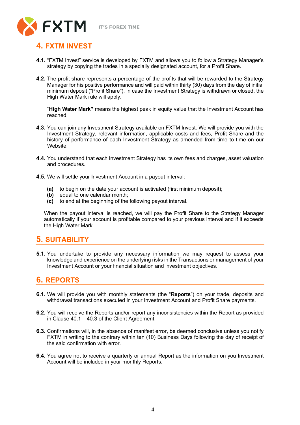**IT'S FOREX TIME** 



#### <span id="page-3-0"></span>**4. FXTM INVEST**

- **4.1.** "FXTM Invest" service is developed by FXTM and allows you to follow a Strategy Manager's strategy by copying the trades in a specially designated account, for a Profit Share.
- **4.2.** The profit share represents a percentage of the profits that will be rewarded to the Strategy Manager for his positive performance and will paid within thirty (30) days from the day of initial minimum deposit ("Profit Share"). In case the Investment Strategy is withdrawn or closed, the High Water Mark rule will apply.

"**High Water Mark"** means the highest peak in equity value that the Investment Account has reached.

- **4.3.** You can join any Investment Strategy available on FXTM Invest. We will provide you with the Investment Strategy, relevant information, applicable costs and fees, Profit Share and the history of performance of each Investment Strategy as amended from time to time on our Website.
- **4.4.** You understand that each Investment Strategy has its own fees and charges, asset valuation and procedures.
- **4.5.** We will settle your Investment Account in a payout interval:
	- **(a)** to begin on the date your account is activated (first minimum deposit);
	- **(b)** equal to one calendar month;
	- **(c)** to end at the beginning of the following payout interval.

When the payout interval is reached, we will pay the Profit Share to the Strategy Manager automatically if your account is profitable compared to your previous interval and if it exceeds the High Water Mark.

## **5. SUITABILITY**

**5.1.** You undertake to provide any necessary information we may request to assess your knowledge and experience on the underlying risks in the Transactions or management of your Investment Account or your financial situation and investment objectives.

## <span id="page-3-1"></span>**6. REPORTS**

- **6.1.** We will provide you with monthly statements (the "**Reports**") on your trade, deposits and withdrawal transactions executed in your Investment Account and Profit Share payments.
- **6.2.** You will receive the Reports and/or report any inconsistencies within the Report as provided in Clause 40.1 – 40.3 of the Client Agreement.
- **6.3.** Confirmations will, in the absence of manifest error, be deemed conclusive unless you notify FXTM in writing to the contrary within ten (10) Business Days following the day of receipt of the said confirmation with error.
- **6.4.** You agree not to receive a quarterly or annual Report as the information on you Investment Account will be included in your monthly Reports.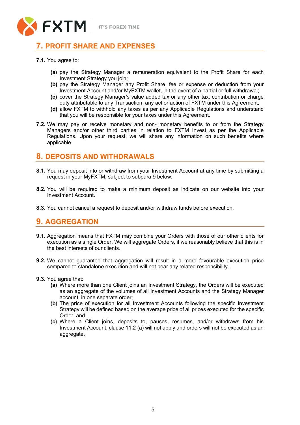**IT'S FOREX TIME** 



## <span id="page-4-0"></span>**7. PROFIT SHARE AND EXPENSES**

- **7.1.** You agree to:
	- **(a)** pay the Strategy Manager a remuneration equivalent to the Profit Share for each Investment Strategy you join;
	- **(b)** pay the Strategy Manager any Profit Share, fee or expense or deduction from your Investment Account and/or MyFXTM wallet, in the event of a partial or full withdrawal;
	- **(c)** cover the Strategy Manager's value added tax or any other tax, contribution or charge duty attributable to any Transaction, any act or action of FXTM under this Agreement;
	- **(d)** allow FXTM to withhold any taxes as per any Applicable Regulations and understand that you will be responsible for your taxes under this Agreement.
- **7.2.** We may pay or receive monetary and non- monetary benefits to or from the Strategy Managers and/or other third parties in relation to FXTM Invest as per the Applicable Regulations. Upon your request, we will share any information on such benefits where applicable.

## <span id="page-4-1"></span>**8. DEPOSITS AND WITHDRAWALS**

- **8.1.** You may deposit into or withdraw from your Investment Account at any time by submitting a request in your MyFXTM, subject to subpara [9](#page-4-1) below.
- **8.2.** You will be required to make a minimum deposit as indicate on our website into your Investment Account.
- **8.3.** You cannot cancel a request to deposit and/or withdraw funds before execution.

#### <span id="page-4-2"></span>**9. AGGREGATION**

- **9.1.** Aggregation means that FXTM may combine your Orders with those of our other clients for execution as a single Order. We will aggregate Orders, if we reasonably believe that this is in the best interests of our clients.
- **9.2.** We cannot guarantee that aggregation will result in a more favourable execution price compared to standalone execution and will not bear any related responsibility.
- <span id="page-4-3"></span>**9.3.** You agree that:
	- **(a)** Where more than one Client joins an Investment Strategy, the Orders will be executed as an aggregate of the volumes of all Investment Accounts and the Strategy Manager account, in one separate order;
	- **(b)** The price of execution for all Investment Accounts following the specific Investment Strategy will be defined based on the average price of all prices executed for the specific Order; and
	- **(c)** Where a Client joins, deposits to, pauses, resumes, and/or withdraws from his Investment Account, clause [11.2](#page-4-3) (a) will not apply and orders will not be executed as an aggregate.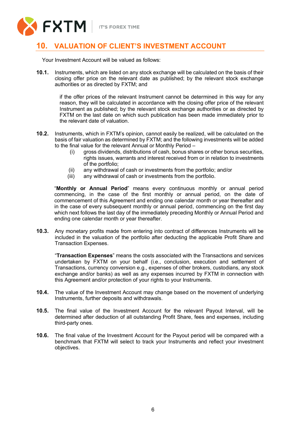

## <span id="page-5-0"></span>**10. VALUATION OF CLIENT'S INVESTMENT ACCOUNT**

Your Investment Account will be valued as follows:

**10.1.** Instruments, which are listed on any stock exchange will be calculated on the basis of their closing offer price on the relevant date as published; by the relevant stock exchange authorities or as directed by FXTM; and

> if the offer prices of the relevant Instrument cannot be determined in this way for any reason, they will be calculated in accordance with the closing offer price of the relevant Instrument as published; by the relevant stock exchange authorities or as directed by FXTM on the last date on which such publication has been made immediately prior to the relevant date of valuation.

- **10.2.** Instruments, which in FXTM's opinion, cannot easily be realized, will be calculated on the basis of fair valuation as determined by FXTM; and the following investments will be added to the final value for the relevant Annual or Monthly Period –
	- (i) gross dividends, distributions of cash, bonus shares or other bonus securities, rights issues, warrants and interest received from or in relation to investments of the portfolio;
	- (ii) any withdrawal of cash or investments from the portfolio; and/or
	- (iii) any withdrawal of cash or investments from the portfolio.

"**Monthly or Annual Period**" means every continuous monthly or annual period commencing, in the case of the first monthly or annual period, on the date of commencement of this Agreement and ending one calendar month or year thereafter and in the case of every subsequent monthly or annual period, commencing on the first day which next follows the last day of the immediately preceding Monthly or Annual Period and ending one calendar month or year thereafter.

**10.3.** Any monetary profits made from entering into contract of differences Instruments will be included in the valuation of the portfolio after deducting the applicable Profit Share and Transaction Expenses.

"**Transaction Expenses**" means the costs associated with the Transactions and services undertaken by FXTM on your behalf (i.e., conclusion, execution and settlement of Transactions, currency conversion e.g., expenses of other brokers, custodians, any stock exchange and/or banks) as well as any expenses incurred by FXTM in connection with this Agreement and/or protection of your rights to your Instruments.

- **10.4.** The value of the Investment Account may change based on the movement of underlying Instruments, further deposits and withdrawals.
- **10.5.** The final value of the Investment Account for the relevant Payout Interval, will be determined after deduction of all outstanding Profit Share, fees and expenses, including third-party ones.
- **10.6.** The final value of the Investment Account for the Payout period will be compared with a benchmark that FXTM will select to track your Instruments and reflect your investment objectives.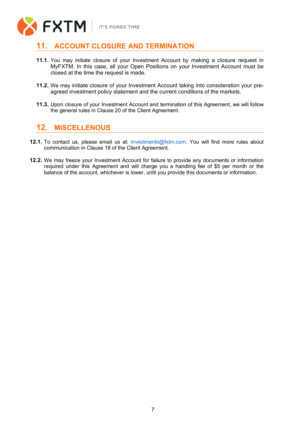

## <span id="page-6-0"></span>**11. ACCOUNT CLOSURE AND TERMINATION**

- **11.1.** You may initiate closure of your Investment Account by making a closure request in MyFXTM. In this case, all your Open Positions on your Investment Account must be closed at the time the request is made.
- **11.2.** We may initiate closure of your Investment Account taking into consideration your preagreed investment policy statement and the current conditions of the markets.
- **11.3.** Upon closure of your Investment Account and termination of this Agreement, we will follow the general rules in Clause 20 of the Client Agreement.

## <span id="page-6-1"></span>**12. MISCELLENOUS**

- **12.1.** To contact us, please email us at: [investments@fxtm.com.](mailto:investments@fxtm.com) You will find more rules about communication in Clause 18 of the Client Agreement.
- **12.2.** We may freeze your Investment Account for failure to provide any documents or information required under this Agreement and will charge you a handling fee of \$5 per month or the balance of the account, whichever is lower, until you provide this documents or information.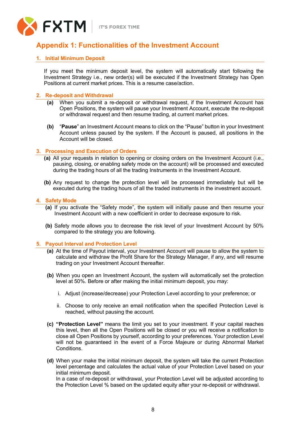

## <span id="page-7-0"></span>**Appendix 1: Functionalities of the Investment Account**

#### **1. Initial Minimum Deposit**

If you meet the minimum deposit level, the system will automatically start following the Investment Strategy i.e., new order(s) will be executed if the Investment Strategy has Open Positions at current market prices. This is a resume case/action.

#### **2. Re-deposit and Withdrawal**

- **(a)** When you submit a re-deposit or withdrawal request, if the Investment Account has Open Positions, the system will pause your Investment Account, execute the re-deposit or withdrawal request and then resume trading, at current market prices.
- **(b)** "**Pause**" an Investment Account means to click on the "Pause" button in your Investment Account unless paused by the system. If the Account is paused, all positions in the Account will be closed.

#### **3. Processing and Execution of Orders**

- **(a)** All your requests in relation to opening or closing orders on the Investment Account (i.e., pausing, closing, or enabling safety mode on the account) will be processed and executed during the trading hours of all the trading Instruments in the Investment Account.
- **(b)** Any request to change the protection level will be processed immediately but will be executed during the trading hours of all the traded instruments in the investment account.

#### **4. Safety Mode**

- **(a)** If you activate the "Safety mode", the system will initially pause and then resume your Investment Account with a new coefficient in order to decrease exposure to risk.
- **(b)** Safety mode allows you to decrease the risk level of your Investment Account by 50% compared to the strategy you are following.

#### **5. Payout Interval and Protection Level**

- **(a)** At the time of Payout interval, your Investment Account will pause to allow the system to calculate and withdraw the Profit Share for the Strategy Manager, if any, and will resume trading on your Investment Account thereafter.
- **(b)** When you open an Investment Account, the system will automatically set the protection level at 50%. Before or after making the initial minimum deposit, you may:
	- i. Adjust (increase/decrease) your Protection Level according to your preference; or
	- ii. Choose to only receive an email notification when the specified Protection Level is reached, without pausing the account.
- **(c) "Protection Level"** means the limit you set to your investment. If your capital reaches this level, then all the Open Positions will be closed or you will receive a notification to close all Open Positions by yourself, according to your preferences. Your protection Level will not be guaranteed in the event of a Force Majeure or during Abnormal Market Conditions.
- **(d)** When your make the initial minimum deposit, the system will take the current Protection level percentage and calculates the actual value of your Protection Level based on your initial minimum deposit. In a case of re-deposit or withdrawal, your Protection Level will be adjusted according to the Protection Level % based on the updated equity after your re-deposit or withdrawal.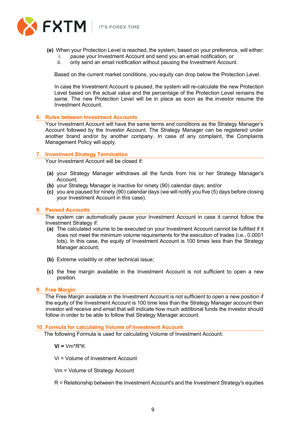

- **(e)** When your Protection Level is reached, the system, based on your preference, will either:
	- i. pause your Investment Account and send you an email notification, or
	- ii. only send an email notification without pausing the Investment Account.

Based on the current market conditions, you equity can drop below the Protection Level.

In case the Investment Account is paused, the system will re-calculate the new Protection Level based on the actual value and the percentage of the Protection Level remains the same. The new Protection Level will be in place as soon as the investor resume the Investment Account.

#### **6. Rules between Investment Accounts**

Your Investment Account will have the same terms and conditions as the Strategy Manager's Account followed by the Investor Account. The Strategy Manager can be registered under another brand and/or by another company. In case of any complaint, the [Complaints](https://www.forextime.com/policies-regulation/client-account-opening-agreements)  [Management Policy](https://www.forextime.com/policies-regulation/client-account-opening-agreements) will apply.

#### **7. Investment Strategy Termination**

Your Investment Account will be closed if:

- **(a)** your Strategy Manager withdraws all the funds from his or her Strategy Manager's Account;
- **(b)** your Strategy Manager is inactive for ninety (90) calendar days; and/or
- **(c)** you are paused for ninety (90) calendar days (we will notify you five (5) days before closing your Investment Account in this case).

#### **8. Paused Accounts**

The system can automatically pause your Investment Account in case it cannot follow the Investment Strategy if:

- **(a)** The calculated volume to be executed on your Investment Account cannot be fulfilled if it does not meet the minimum volume requirements for the execution of trades (i.e., 0.0001 lots). In this case, the equity of Investment Account is 100 times less than the Strategy Manager account;
- **(b)** Extreme volatility or other technical issue;
- **(c)** the free margin available in the Investment Account is not sufficient to open a new position.

#### **9. Free Margin**

The Free Margin available in the Investment Account is not sufficient to open a new position if the equity of the Investment Account is 100 time less than the Strategy Manager account then investor will receive and email that will indicate how much additional funds the investor should follow in order to be able to follow that Strategy Manager account.

#### **10. Formula for calculating Volume of Investment Account**

The following Formula is used for calculating Volume of Investment Account:

 $Vi = Vm^*R^*K$ 

Vi = Volume of Investment Account

- Vm = Volume of Strategy Account
- R = Relationship between the Investment Account's and the Investment Strategy's equities